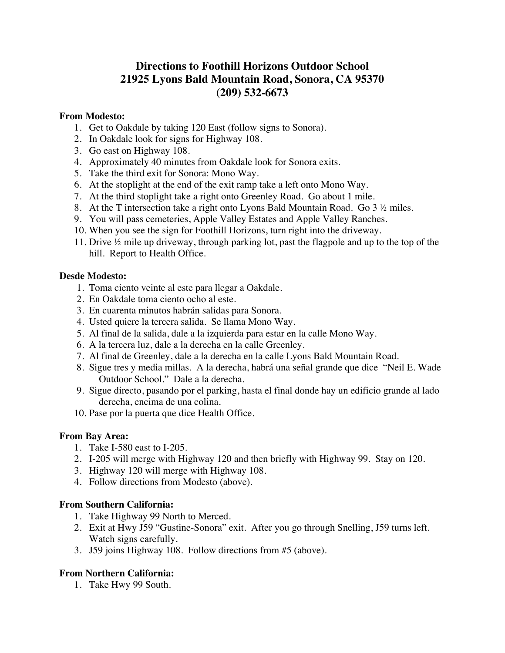# **Directions to Foothill Horizons Outdoor School 21925 Lyons Bald Mountain Road, Sonora, CA 95370 (209) 532-6673**

#### **From Modesto:**

- 1. Get to Oakdale by taking 120 East (follow signs to Sonora).
- 2. In Oakdale look for signs for Highway 108.
- 3. Go east on Highway 108.
- 4. Approximately 40 minutes from Oakdale look for Sonora exits.
- 5. Take the third exit for Sonora: Mono Way.
- 6. At the stoplight at the end of the exit ramp take a left onto Mono Way.
- 7. At the third stoplight take a right onto Greenley Road. Go about 1 mile.
- 8. At the T intersection take a right onto Lyons Bald Mountain Road. Go 3 ½ miles.
- 9. You will pass cemeteries, Apple Valley Estates and Apple Valley Ranches.
- 10. When you see the sign for Foothill Horizons, turn right into the driveway.
- 11. Drive ½ mile up driveway, through parking lot, past the flagpole and up to the top of the hill. Report to Health Office.

#### **Desde Modesto:**

- 1. Toma ciento veinte al este para llegar a Oakdale.
- 2. En Oakdale toma ciento ocho al este.
- 3. En cuarenta minutos habrán salidas para Sonora.
- 4. Usted quiere la tercera salida. Se llama Mono Way.
- 5. Al final de la salida, dale a la izquierda para estar en la calle Mono Way.
- 6. A la tercera luz, dale a la derecha en la calle Greenley.
- 7. Al final de Greenley, dale a la derecha en la calle Lyons Bald Mountain Road.
- 8. Sigue tres y media millas. A la derecha, habrá una señal grande que dice "Neil E. Wade Outdoor School." Dale a la derecha.
- 9. Sigue directo, pasando por el parking, hasta el final donde hay un edificio grande al lado derecha, encima de una colina.
- 10. Pase por la puerta que dice Health Office.

## **From Bay Area:**

- 1. Take I-580 east to I-205.
- 2. I-205 will merge with Highway 120 and then briefly with Highway 99. Stay on 120.
- 3. Highway 120 will merge with Highway 108.
- 4. Follow directions from Modesto (above).

#### **From Southern California:**

- 1. Take Highway 99 North to Merced.
- 2. Exit at Hwy J59 "Gustine-Sonora" exit. After you go through Snelling, J59 turns left. Watch signs carefully.
- 3. J59 joins Highway 108. Follow directions from #5 (above).

## **From Northern California:**

1. Take Hwy 99 South.